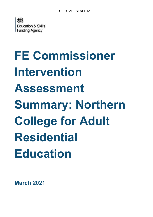

# **FE Commissioner Intervention Assessment Summary: Northern College for Adult Residential Education**

**March 2021**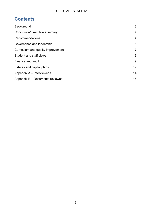# **Contents**

| Background                         | 3              |
|------------------------------------|----------------|
| Conclusion/Executive summary       | 4              |
| Recommendations                    | $\overline{4}$ |
| Governance and leadership          | 5              |
| Curriculum and quality improvement | $\overline{7}$ |
| Student and staff views            | 9              |
| Finance and audit                  | 9              |
| Estates and capital plans          | 12             |
| Appendix A – Interviewees          | 14             |
| Appendix B - Documents reviewed    | 15             |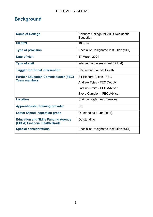# <span id="page-2-0"></span>**Background**

| <b>Name of College</b>                                                      | Northern College for Adult Residential<br>Education |
|-----------------------------------------------------------------------------|-----------------------------------------------------|
| <b>UKPRN</b>                                                                | 108314                                              |
| <b>Type of provision</b>                                                    | Specialist Designated Institution (SDI)             |
| Date of visit                                                               | 17 March 2021                                       |
| <b>Type of visit</b>                                                        | Intervention assessment (virtual)                   |
| <b>Trigger for formal intervention</b>                                      | Decline in financial Health                         |
| <b>Further Education Commissioner (FEC)</b><br><b>Team members</b>          | <b>Sir Richard Atkins - FEC</b>                     |
|                                                                             | Andrew Tyley - FEC Deputy                           |
|                                                                             | Laraine Smith - FEC Adviser                         |
|                                                                             | Steve Campion - FEC Adviser                         |
| <b>Location</b>                                                             | Stainborough, near Barnsley                         |
| <b>Apprenticeship training provider</b>                                     | <b>No</b>                                           |
| <b>Latest Ofsted inspection grade</b>                                       | Outstanding (June 2014)                             |
| <b>Education and Skills Funding Agency</b><br>(ESFA) Financial Health Grade | Outstanding                                         |
| <b>Special considerations</b>                                               | <b>Specialist Designated Institution (SDI)</b>      |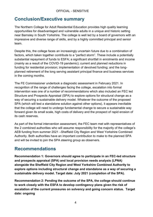# <span id="page-3-0"></span>**Conclusion/Executive summary**

The Northern College for Adult Residential Education provides high quality learning opportunities for disadvantaged and vulnerable adults in a unique and historic setting near Barnsley in South Yorkshire. The college is well led by a board of governors with an impressive and diverse range of skills, and by a highly committed principal and senior team.

Despite this, the college faces an increasingly uncertain future due to a combination of factors, which taken together contribute to a "perfect storm". These include a potentially substantial repayment of funds to ESFA; a significant shortfall in enrolments and income (mainly as a result of the COVID-19 pandemic); current and planned reductions in funding for residential provision; implementation of devolved funding; and the longplanned retirement of the long serving assistant principal finance and business services in the coming months.

The FE Commissioner undertook a diagnostic assessment in February 2021. In recognition of the range of challenges facing the college, escalation into formal intervention was one of a number of recommendations which also included an FEC led Structure and Prospects Appraisal (SPA) to explore options for structural change as a way of securing a sustainable delivery model. Whatever the outcome of the proposed SPA (which will test a standalone solution against other options), it appears inevitable that the college will need to undergo fundamental change to secure a sustainable way forward given its small scale, high costs of delivery and the prospect of rapid erosion of its cash reserves.

As part of the formal intervention assessment, the FEC team met with representatives of the 2 combined authorities who will assume responsibility for the majority of the college's AEB funding from summer 2021 –Sheffield City Region and West Yorkshire Combined Authority. Both authorities have an important contribution to make to the planned SPA and will be invited to join the SPA steering group as observers.

#### <span id="page-3-1"></span>**Recommendations**

**Recommendation 1: Governors should agree to participate in an FEC-led structure and prospects appraisal (SPA) and local provision needs analysis (LPNA) alongside the Sheffield City Region and West Yorkshire Combined Authority to explore options including structural change and standalone as a way of securing a sustainable delivery model. Target date: July 2021 (completion of the SPA).** 

**Recommendation 2: Pending the outcome of the SPA, the college should continue to work closely with the ESFA to develop contingency plans given the risk of escalation of the current pressures on solvency and going concern status. Target date: ongoing**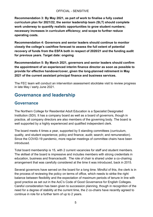**Recommendation 3: By May 2021, as part of work to finalise a fully costed curriculum plan for 2021/22, the senior leadership team (SLT) should complete work underway to quantify realistic opportunities to grow student numbers; necessary increases in curriculum efficiency; and scope to further reduce operating costs.**

**Recommendation 4: Governors and senior leaders should continue to monitor closely the college's cashflow forecast to assess the full extent of potential recovery of funds from the ESFA both in respect of 2020/21 and the funding audit for previous years. Target date: ongoing**

**Recommendation 5: By March 2021, governors and senior leaders should confirm the appointment of an experienced interim finance director as soon as possible to provide for effective handover/cover, given the long-planned retirement in May 2021 of the current assistant principal finance and business services.**

The FEC team will conduct an intervention assessment stocktake visit to review progress in late May / early June 2021.

# <span id="page-4-0"></span>**Governance and leadership**

#### **Governance**

The Northern College for Residential Adult Education is a Specialist Designated Institution (SDI). It has a company board as well as a board of governors, though in practice, all company directors are also members of the governing body. The board is well supported by a highly experienced and qualified independent clerk.

The board meets 4 times a year, supported by 5 standing committees (curriculum, quality, and student experience; policy and finance; audit; search; and remuneration). Since the COVID-19 pandemic, more regular meetings of committee chairs have been introduced.

Total board membership is 15, with 2 current vacancies for staff and student members. The skillset of the board is impressive and includes members with strong credentials in education, business and finance/audit. The role of chair is shared under a co-chairing arrangement that was carefully considered at the time it was introduced, back in 2015.

Several governors have served on the board for a long time. Mindful of this, the clerk is in the process of reviewing the policy on terms of office, which needs to strike the right balance between flexibility and the expectation of maximum periods of tenure in line with good practice as set out in the AoC's Code of Good Governance for English Colleges. Careful consideration has been given to succession planning, though in recognition of the need for a degree of stability at the current time, the 2 co-chairs have recently agreed to continue in role for a further term of up to 2 years.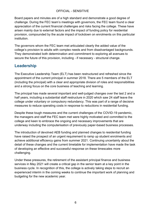Board papers and minutes are of a high standard and demonstrate a good degree of challenge. During the FEC team's meetings with governors, the FEC team found a clear appreciation of the current financial challenges and risks facing the college. These have arisen mainly due to external factors and the impact of funding policy for residential provision, compounded by the acute impact of lockdown on enrolments on this particular institution.

The governors whom the FEC team met articulated clearly the added value of the college's provision to adults with complex needs and from disadvantaged backgrounds. They demonstrated both determination and commitment to exploring all avenues to secure the future of this provision, including - if necessary - structural change.

#### **Leadership**

The Executive Leadership Team (ELT) has been restructured and refreshed since the appointment of the current principal in summer 2018. There are 5 members of the ELT (including the principal) with a clear and appropriate division of roles and responsibilities and a strong focus on the core business of teaching and learning.

The principal has made several important and well-judged changes over the last 2 and a half years, including a substantial staff restructure in 2020 which saw 24 staff leave the college under voluntary or compulsory redundancy. This was part of a range of decisive measures to reduce operating costs in response to reductions in residential funding.

Despite these tough measures and the current challenges of the COVID-19 pandemic, the managers and staff the FEC team met were highly motivated and committed to the college and keen to embrace the ongoing and necessary improvements that are underway including the computerisation of previously paper-based business processes.

The introduction of devolved AEB funding and planned changes to residential funding have raised the prospect of an urgent requirement to ramp up student enrolments and achieve additional efficiency gains from summer 2021. Continuing uncertainty about the detail of these changes and the current timetable for implementation have made the task of developing an effective and successful response on these timescales more challenging.

Under these pressures, the retirement of the assistant principal finance and business services in May 2021 will create a critical gap in the senior team at a key point in the business cycle. In recognition of this, the college is actively taking steps to recruit an experienced interim in the coming weeks to continue the important work of planning and budgeting for the new academic year.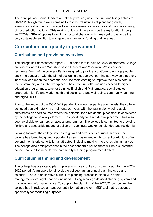The principal and senior leaders are already working up curriculum and budget plans for 2021/22, though much work remains to test the robustness of plans for growth, assumptions about funding, scope to increase average class sizes and the scale / timing of cost reduction actions. This work should continue alongside the exploration through an FEC-led SPA of options involving structural change, which may yet prove to be the only sustainable solution to navigate the changes in funding that lie ahead.

# <span id="page-6-0"></span>**Curriculum and quality improvement**

#### **Curriculum and provision overview**

The college self-assessment report (SAR) notes that in 2019/20 56% of Northern College enrolments were South Yorkshire based learners and 28% were West Yorkshire residents. Much of the college offer is designed to provide a platform to engage people back into education with the aim of designing a supportive learning pathway so that every individual can reach their potential and use their learning to improve their lives both in their community and in the workplace. The curriculum offer includes access to higher education programmes, teacher training, English and Mathematics, social studies, preparation for life and work, health and social care and well-being, community learning and digital skills.

Prior to the impact of the COVID-19 pandemic on learner participation levels, the college achieved approximately 4k enrolments per year, with the vast majority being adult enrolments on short courses where the potential for a residential placement is considered by the college to be a key element. The opportunity for a residential placement has also been available to learners on access programmes. The college is committed to providing flexible and accessible modes of delivery – evenings, weekends, blended and residential.

Looking forward, the college intends to grow and diversify its curriculum offer. The college has identified growth opportunities such as extending its current curriculum offer beyond the historic cohorts it has attracted, including moving into the retraining market. The college also anticipates that in the post-pandemic period there will be a substantial bounce back in the need for the community learning programmes it offers.

#### **Curriculum planning and development**

The college has a strategic plan in place which sets out a curriculum vision for the 2020- 2025 period. At an operational level, the college has an annual planning cycle and calendar. There is an iterative curriculum planning process in place with senior management oversight, that has included utilising a college devised planning system and management information tools. To support the planning of the 2021/22 curriculum, the college has introduced a management information system (MIS) tool that is designed specifically for modelling purposes.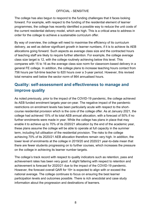The college has also begun to respond to the funding challenges that it faces looking forward. For example, with respect to the funding of the residential element of learner programmes, the college has recently identified a possible way to reduce the unit costs of the current residential delivery model, which are high. This is a critical area to address in order for the college to achieve a sustainable curriculum offer.

By way of overview, the college will need to maximise the efficiency of its curriculum delivery, as well as deliver significant growth in learner numbers, if it is to achieve its AEB allocations going forward. Such aspects as average class size and the contracted hours of teaching staff are likely to require further attention. For example, the college average class size target is 12, with the college routinely achieving below this level. This compares with 15 to 16 as the average class size norm for classroom-based delivery in a general FE college. In addition, the college plans to increase teaching hours contact from 756 hours per full-time teacher to 820 hours over a 3-year period. However, this revised total remains well below the sector norm of 864 annualised hours.

## **Quality: self-assessment and effectiveness to manage and improve quality**

As noted previously, prior to the impact of the COVID-19 pandemic, the college achieved its AEB funded enrolment targets year-on-year. The negative impact of the pandemic restrictions on enrolment levels has been particularly acute with respect to the shortcourse residential provision which is the core of the college offer. As at January 2021, the college had achieved 15% of its total AEB annual allocation, with a forecast of 50% if no further enrolments were made in year. While the college has plans in place that may enable it to achieve up to 70% of its 2020/21 allocation by the end of the academic year, these plans assume the college will be able to operate at full capacity in the summer term, including full utilisation of the residential provision. The risks to the college achieving 70% of its 2020/21 AEB allocation therefore remain very high. In addition, the lower level of enrolments at the college in 2019/20 and 2020/21 year-to-date mean that there are fewer students progressing on to further courses, which increases the pressure on the college in achieving its learner number targets.

The college's track record with respect to quality indicators such as retention, pass and achievement rates has been very good. A slight faltering with respect to retention and achievement is forecast for 2020/21 due to the impact of the COVID-19 pandemic. However, the forecast overall QAR for 19+ is expected to align with or exceed the national average. The college continues to focus on ensuring the best learner participation levels and outcomes possible. There is rich anecdotal and case study information about the progression and destinations of learners.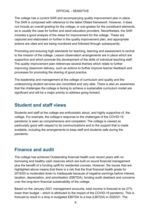The college has a current SAR and accompanying quality improvement plan in place. The SAR is composed with reference to the latest Ofsted framework. However, it does not include an overall grading for the college, or sub-grades for the constituent elements, as is usually the case for further and adult education providers. Nevertheless, the SAR includes a good analysis of the areas for improvement for the college. These are captured and elaborated on further in the quality improvement plan, and appropriate actions are cited and are being monitored and followed through subsequently.

Promoting and ensuring high standards for teaching, learning and assessment is central to the mission of the college. Lesson observation arrangements are in place which are supportive and which promote the development of the skills of individual teaching staff. The quality improvement plan references several themes which relate to further improving classroom delivery, such as actions to further improve learner feedback and processes for promoting the sharing of good practice.

The leadership and management at the college of curriculum and quality and the underpinning student services are committed and very able. There is also an awareness that the challenges the college is facing to achieve a sustainable curriculum model are significant and will be a major priority to address going forward.

# <span id="page-8-0"></span>**Student and staff views**

Students and staff at the college are enthusiastic about, and highly supportive of, the college. For example, the college's response to the challenges of the COVID-19 pandemic is seen as comprehensive and competent. The college is viewed as particularly good with respect to its communications and to the support that is made available, including the arrangements to keep staff and students safe during the pandemic.

# <span id="page-8-1"></span>**Finance and audit**

The college has achieved Outstanding financial health over recent years with no borrowing and healthy cash reserves which are built on sound financial management plus the benefit of a funding uplift for residential courses. However, the issues that are highlighted above means that there is a risk that the final financial health grade for 2019/20 is moderated down to Inadequate because of negative earnings before interest, taxation, depreciation, and amortisation (EBITDA), funding audit clawback and concerns over the long-term financial sustainability of the college.

Based on the January 2021 management accounts, total income is forecast to be 27% lower than budget – which is attributed to the impact of the COVID-19 pandemic. This is forecast to result in a drop in budgeted EBITDA to a loss (LBITDA) in 2020/21. The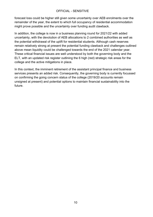forecast loss could be higher still given some uncertainty over AEB enrolments over the remainder of the year, the extent to which full occupancy of residential accommodation might prove possible and the uncertainty over funding audit clawback.

In addition, the college is now in a business planning round for 2021/22 with added uncertainty, with the devolution of AEB allocations to 2 combined authorities as well as the potential withdrawal of the uplift for residential students. Although cash reserves remain relatively strong at present the potential funding clawback and challenges outlined above mean liquidity could be challenged towards the end of the 2021 calendar year. These critical financial issues are well understood by both the governing body and the ELT, with an updated risk register outlining the 6 high (red) strategic risk areas for the college and the active mitigations in place.

In this context, the imminent retirement of the assistant principal finance and business services presents an added risk. Consequently, the governing body is currently focussed on confirming the going concern status of the college (2019/20 accounts remain unsigned at present) and potential options to maintain financial sustainability into the future.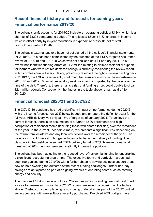## **Recent financial history and forecasts for coming years Financial performance 2019/20**

The college's draft accounts for 2019/20 indicate an operating deficit of £184k, which is a shortfall of £329k compared to budget. This reflects a £600k (11%) shortfall in income which is offset partly by in-year reductions in expenditure of £271k (net of staff restructuring costs of £328k).

The college's external auditors have not yet signed off the college's financial statements for 2019/20. This has been complicated by the outcome of the ESFA targeted assurance review of 2018/19 and 2019/20 which was not finalised until 4 February 2021. This review has identified funding errors of £1.2 million relating to claimed residential support for learners who were not resident; the college is currently considering the review report with its professional advisers. Having previously reserved the right to review funding back to 2016/17, the ESFA have recently confirmed that assurance work will be undertaken on 2016/17 and 2017/18. Initial preparatory work was being completed by the college at the time of the visit. Therefore, there remains a risk that funding errors could double to circa £2.4 million overall. Consequently, the figures in the table above remain as draft for 2019/20.

#### **Financial forecast 2020/21 and 2021/22**

The COVID-19 pandemic has had a significant impact on performance during 2020/21 with the income forecast now 27% below budget, and an operating deficit forecast for the full year. AEB delivery was only at 15% of target as of January 2021. To achieve the current forecast, there is an assumption of a further 1,500 enrolments and high occupation of residential rooms (including those with shared facilities) over the remainder of the year. In the current uncertain climate, this presents a significant risk depending on the return from lockdown and any local restrictions over the remainder of the year. The college's current forecast to budget includes potential under delivery of funding. The clawback in the cashflow assumed ESFA delivery target of 97%, however, a national threshold of 90% has now been set, to slightly improve the position.

The college had been adjusting to the reduced level of residential funding by undertaking a significant restructuring programme. The executive team and curriculum areas had been reorganised during 2019/20 with a further phase reviewing business support areas now on hold awaiting the outcome of the recent funding challenges. Further non-pay savings are anticipated as part of on-going reviews of operating costs such as catering, energy and security.

The previous ESFA submission (July 2020) suggesting Outstanding financial health, with a close to breakeven position for 2021/22 is being reviewed considering all the factors above. Costed curriculum planning is now being undertaken as part of the 21/22 budget setting process, with new software recently purchased. Devolved AEB budgets have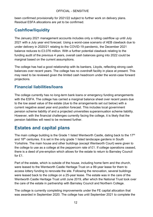been confirmed provisionally for 2021/22 subject to further work on delivery plans. Residual ESFA allocations are yet to be confirmed.

#### **Cashflow/liquidity**

The January 2021 management accounts includes only a rolling cashflow up until July 2021 with a July year end forecast. Using a worst-case scenario of AEB clawback due to under delivery in 2020/21 relating to the COVID-19 pandemic, the December 2021 balance reduces to £3.076 million. With a further potential clawback relating to the funding audit of the previous 4 years, overall cash balances going into 2022 could be marginal based on the current assumptions.

The college has had a good relationship with its bankers, Lloyds, reflecting strong cash balances over recent years. The college has no overdraft facility in place at present. This may need to be reviewed given the limited cash headroom under the worst-case forward projections.

#### **Financial liabilities/loans**

The college currently has no long-term bank loans or emergency funding arrangements with the ESFA. The college has carried a marginal balance sheet over recent years due to the low asset value of the estate (due to the arrangements set out below) with a current negative asset year end position forecast. This includes local government pension scheme liability of and a projected universities superannuation scheme liability. However, with the financial challenges currently facing the college, it is likely that the pension liabilities will need to be reviewed further.

# <span id="page-11-0"></span>**Estates and capital plans**

The main college building is the Grade 1 listed Wentworth Castle, dating back to the  $17<sup>th</sup>$ and  $18<sup>th</sup>$  centuries. It is set in the only grade 1 listed landscape gardens in South Yorkshire. The main house and other buildings (except Wentworth Court) were given to the college to use as a college at the peppercorn rate of £1. If college operations ceased, there is a deed of pre-emption which allows for the estate to return to Barnsley Council for  $f1$ .

Part of the estate, which is outside of the house, including home farm and the church, were leased to the Wentworth Castle Heritage Trust on a 99-year lease for them to access lottery funding to renovate the site. Following the renovation, several buildings were leased back to the college on a 25-year lease. The estate was in the care of the Wentworth Castle Heritage Trust until June 2019, after which the National Trust took over the care of the estate in partnership with Barnsley Council and Northern College.

The college is currently completing improvements under the FE capital allocation that was awarded in September 2020. The college has until September 2021 to complete the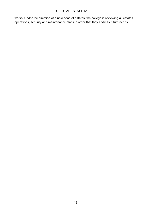works. Under the direction of a new head of estates, the college is reviewing all estates operations, security and maintenance plans in order that they address future needs.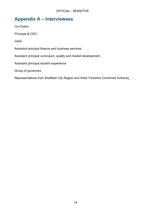# <span id="page-13-0"></span>**Appendix A – Interviewees**

Co-Chairs Principal & CEO Clerk Assistant principal finance and business services Assistant principal curriculum, quality and market development Assistant principal student experience Group of governors

Representatives from Sheffield City Region and West Yorkshire Combined Authority